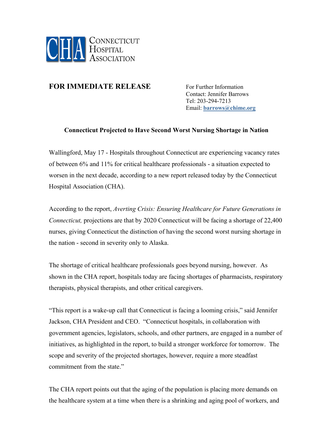

## **FOR IMMEDIATE RELEASE** For Further Information

 Contact: Jennifer Barrows Tel: 203-294-7213 Email: **[barrows@chime.org](mailto:barrows@chime.org)**

## **Connecticut Projected to Have Second Worst Nursing Shortage in Nation**

Wallingford, May 17 - Hospitals throughout Connecticut are experiencing vacancy rates of between 6% and 11% for critical healthcare professionals - a situation expected to worsen in the next decade, according to a new report released today by the Connecticut Hospital Association (CHA).

According to the report, *Averting Crisis: Ensuring Healthcare for Future Generations in Connecticut,* projections are that by 2020 Connecticut will be facing a shortage of 22,400 nurses, giving Connecticut the distinction of having the second worst nursing shortage in the nation - second in severity only to Alaska.

The shortage of critical healthcare professionals goes beyond nursing, however. As shown in the CHA report, hospitals today are facing shortages of pharmacists, respiratory therapists, physical therapists, and other critical caregivers.

"This report is a wake-up call that Connecticut is facing a looming crisis," said Jennifer Jackson, CHA President and CEO. "Connecticut hospitals, in collaboration with government agencies, legislators, schools, and other partners, are engaged in a number of initiatives, as highlighted in the report, to build a stronger workforce for tomorrow. The scope and severity of the projected shortages, however, require a more steadfast commitment from the state."

The CHA report points out that the aging of the population is placing more demands on the healthcare system at a time when there is a shrinking and aging pool of workers, and